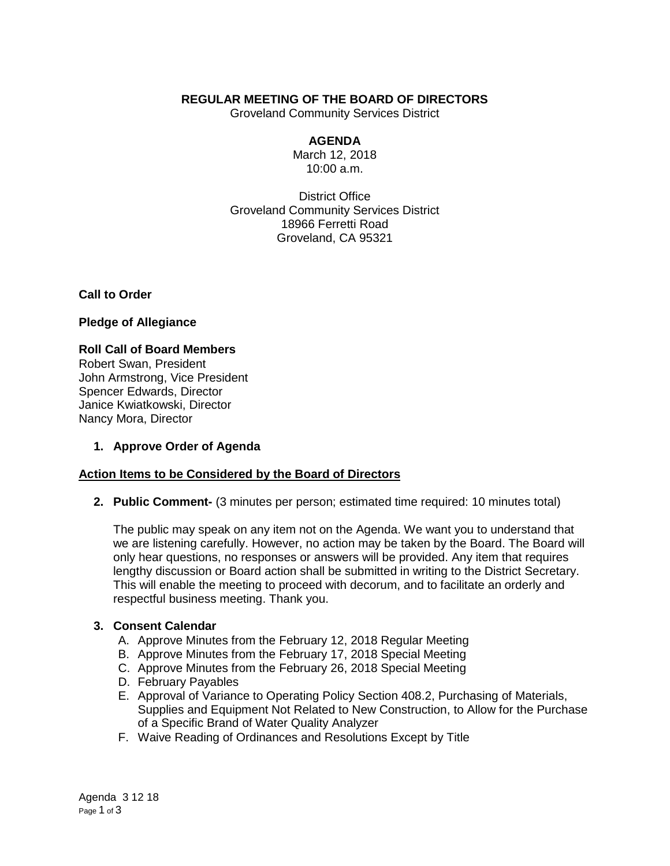# **REGULAR MEETING OF THE BOARD OF DIRECTORS**

Groveland Community Services District

### **AGENDA**

March 12, 2018 10:00 a.m.

District Office Groveland Community Services District 18966 Ferretti Road Groveland, CA 95321

**Call to Order**

**Pledge of Allegiance**

### **Roll Call of Board Members**

Robert Swan, President John Armstrong, Vice President Spencer Edwards, Director Janice Kwiatkowski, Director Nancy Mora, Director

# **1. Approve Order of Agenda**

# **Action Items to be Considered by the Board of Directors**

**2. Public Comment-** (3 minutes per person; estimated time required: 10 minutes total)

The public may speak on any item not on the Agenda. We want you to understand that we are listening carefully. However, no action may be taken by the Board. The Board will only hear questions, no responses or answers will be provided. Any item that requires lengthy discussion or Board action shall be submitted in writing to the District Secretary. This will enable the meeting to proceed with decorum, and to facilitate an orderly and respectful business meeting. Thank you.

### **3. Consent Calendar**

- A. Approve Minutes from the February 12, 2018 Regular Meeting
- B. Approve Minutes from the February 17, 2018 Special Meeting
- C. Approve Minutes from the February 26, 2018 Special Meeting
- D. February Payables
- E. Approval of Variance to Operating Policy Section 408.2, Purchasing of Materials, Supplies and Equipment Not Related to New Construction, to Allow for the Purchase of a Specific Brand of Water Quality Analyzer
- F. Waive Reading of Ordinances and Resolutions Except by Title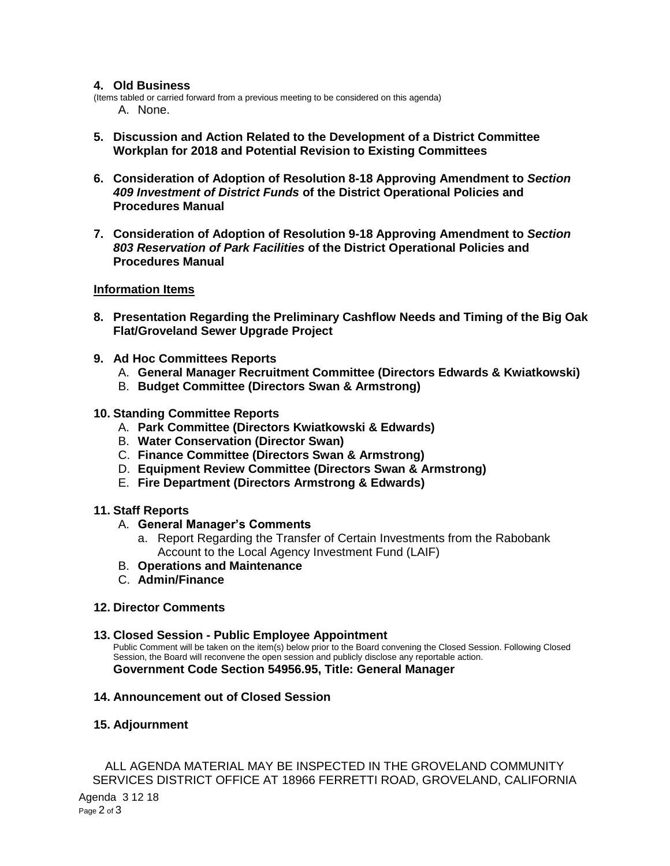### **4. Old Business**

(Items tabled or carried forward from a previous meeting to be considered on this agenda) A. None.

- **5. Discussion and Action Related to the Development of a District Committee Workplan for 2018 and Potential Revision to Existing Committees**
- **6. Consideration of Adoption of Resolution 8-18 Approving Amendment to** *Section 409 Investment of District Funds* **of the District Operational Policies and Procedures Manual**
- **7. Consideration of Adoption of Resolution 9-18 Approving Amendment to** *Section 803 Reservation of Park Facilities* **of the District Operational Policies and Procedures Manual**

### **Information Items**

- **8. Presentation Regarding the Preliminary Cashflow Needs and Timing of the Big Oak Flat/Groveland Sewer Upgrade Project**
- **9. Ad Hoc Committees Reports**
	- A. **General Manager Recruitment Committee (Directors Edwards & Kwiatkowski)**
	- B. **Budget Committee (Directors Swan & Armstrong)**
- **10. Standing Committee Reports** 
	- A. **Park Committee (Directors Kwiatkowski & Edwards)**
	- B. **Water Conservation (Director Swan)**
	- C. **Finance Committee (Directors Swan & Armstrong)**
	- D. **Equipment Review Committee (Directors Swan & Armstrong)**
	- E. **Fire Department (Directors Armstrong & Edwards)**

#### **11. Staff Reports**

- A. **General Manager's Comments**
	- a. Report Regarding the Transfer of Certain Investments from the Rabobank Account to the Local Agency Investment Fund (LAIF)
- B. **Operations and Maintenance**
- C. **Admin/Finance**

#### **12. Director Comments**

**13. Closed Session - Public Employee Appointment**

Public Comment will be taken on the item(s) below prior to the Board convening the Closed Session. Following Closed Session, the Board will reconvene the open session and publicly disclose any reportable action. **Government Code Section 54956.95, Title: General Manager**

**14. Announcement out of Closed Session**

### **15. Adjournment**

ALL AGENDA MATERIAL MAY BE INSPECTED IN THE GROVELAND COMMUNITY SERVICES DISTRICT OFFICE AT 18966 FERRETTI ROAD, GROVELAND, CALIFORNIA